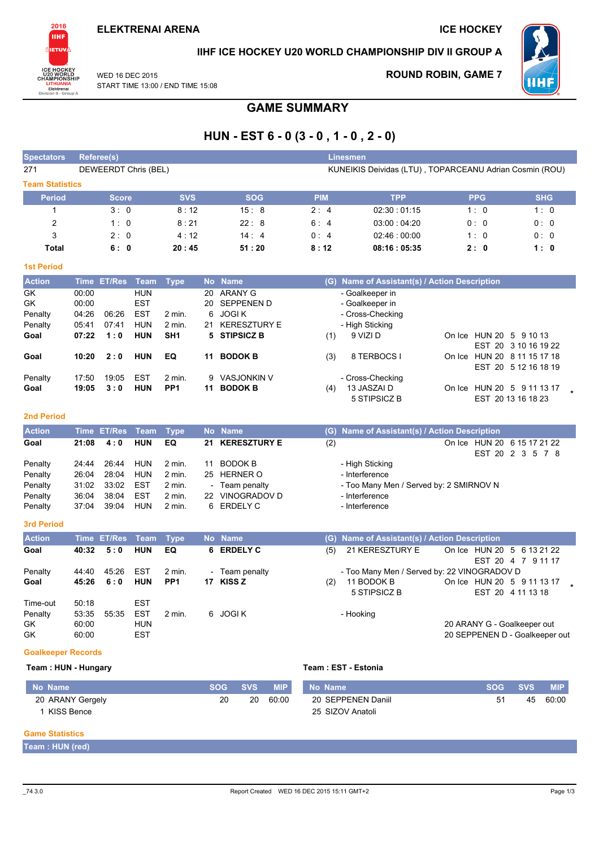

# IIHF ICE HOCKEY U20 WORLD CHAMPIONSHIP DIV II GROUP A

WFD 16 DFC 2015 START TIME 13:00 / END TIME 15:08

### **ROUND ROBIN, GAME 7**



**GAME SUMMARY** 

# HUN - EST 6 - 0 (3 - 0, 1 - 0, 2 - 0)

| <b>Spectators</b>      |                | Referee(s)       |                          |                             |         |                                      |            | Linesmen                                                |            |                             |  |
|------------------------|----------------|------------------|--------------------------|-----------------------------|---------|--------------------------------------|------------|---------------------------------------------------------|------------|-----------------------------|--|
| 271                    |                |                  | DEWEERDT Chris (BEL)     |                             |         |                                      |            | KUNEIKIS Deividas (LTU), TOPARCEANU Adrian Cosmin (ROU) |            |                             |  |
| <b>Team Statistics</b> |                |                  |                          |                             |         |                                      |            |                                                         |            |                             |  |
| <b>Period</b>          |                | <b>Score</b>     |                          | <b>SVS</b>                  |         | <b>SOG</b>                           | <b>PIM</b> | <b>TPP</b>                                              | <b>PPG</b> | <b>SHG</b>                  |  |
| 1                      |                | 3:0              |                          | 8:12                        |         | 15:8                                 | 2:4        | 02:30:01:15                                             | 1:0        | 1:0                         |  |
| 2                      |                | 1:0              |                          | 8:21                        |         | 22:8                                 | 6:4        | 03:00:04:20                                             | 0: 0       | 0: 0                        |  |
| 3                      |                | 2:0              |                          | 4:12                        |         | 14:4                                 | 0:4        | 02:46:00:00                                             | 1:0        | 0:0                         |  |
| <b>Total</b>           |                | 6:0              |                          | 20:45                       |         | 51:20                                | 8:12       | 08:16:05:35                                             | 2:0        | 1:0                         |  |
| <b>1st Period</b>      |                |                  |                          |                             |         |                                      |            |                                                         |            |                             |  |
| <b>Action</b>          |                | Time ET/Res Team |                          | <b>Type</b>                 |         | No Name                              |            | (G) Name of Assistant(s) / Action Description           |            |                             |  |
| GK                     | 00:00          |                  | <b>HUN</b>               |                             | 20      | <b>ARANY G</b>                       |            | - Goalkeeper in                                         |            |                             |  |
| GK                     | 00:00          |                  | <b>EST</b>               |                             |         | 20 SEPPENEN D                        |            | - Goalkeeper in                                         |            |                             |  |
| Penalty                | 04:26          | 06:26            | <b>EST</b>               | $2$ min.                    | 6       | <b>JOGIK</b>                         |            | - Cross-Checking                                        |            |                             |  |
| Penalty                | 05:41          | 07:41            | <b>HUN</b>               | 2 min.                      | 21      | <b>KERESZTURY E</b>                  |            | - High Sticking                                         |            |                             |  |
| Goal                   | 07:22          | 1:0              | <b>HUN</b>               | SH <sub>1</sub>             |         | 5 STIPSICZ B                         | (1)        | 9 VIZI D                                                |            | On Ice HUN 20 5 9 10 13     |  |
|                        |                |                  |                          |                             |         |                                      |            |                                                         |            | EST 20 3 10 16 19 22        |  |
| Goal                   | 10:20          | 2:0              | <b>HUN</b>               | EQ                          | 11      | <b>BODOK B</b>                       | (3)        | 8 TERBOCS I                                             |            | On Ice HUN 20 8 11 15 17 18 |  |
|                        |                |                  |                          |                             |         |                                      |            |                                                         |            | EST 20 5 12 16 18 19        |  |
| Penalty<br>Goal        | 17:50<br>19:05 | 19:05<br>3:0     | <b>EST</b><br><b>HUN</b> | $2$ min.<br>PP <sub>1</sub> | 9<br>11 | <b>VASJONKIN V</b><br><b>BODOK B</b> | (4)        | - Cross-Checking<br>13 JASZAI D                         |            | On Ice HUN 20 5 9 11 13 17  |  |
|                        |                |                  |                          |                             |         |                                      |            | 5 STIPSICZ B                                            |            | EST 20 13 16 18 23          |  |
|                        |                |                  |                          |                             |         |                                      |            |                                                         |            |                             |  |
| <b>2nd Period</b>      |                |                  |                          |                             |         |                                      |            |                                                         |            |                             |  |
| <b>Action</b>          |                | Time ET/Res      | <b>Team</b>              | <b>Type</b>                 |         | No Name                              | (G)        | Name of Assistant(s) / Action Description               |            |                             |  |
| Goal                   | 21:08          | 4:0              | <b>HUN</b>               | EQ                          | 21      | <b>KERESZTURY E</b>                  | (2)        |                                                         |            | On Ice HUN 20 6 15 17 21 22 |  |
| Penalty                | 24:44          | 26:44            | <b>HUN</b>               | $2$ min.                    | 11      | <b>BODOK B</b>                       |            | - High Sticking                                         |            | EST 20 2 3 5 7 8            |  |
| Penalty                | 26:04          | 28:04            | <b>HUN</b>               | 2 min.                      |         | 25 HERNER O                          |            | - Interference                                          |            |                             |  |
| Penalty                | 31:02          | 33:02            | <b>EST</b>               | 2 min.                      |         | Team penalty                         |            | - Too Many Men / Served by: 2 SMIRNOV N                 |            |                             |  |
| Penalty                | 36:04          | 38:04            | <b>EST</b>               | 2 min.                      |         | 22 VINOGRADOV D                      |            | - Interference                                          |            |                             |  |
| Penalty                | 37:04          | 39:04            | <b>HUN</b>               | $2$ min.                    | 6       | <b>ERDELY C</b>                      |            | - Interference                                          |            |                             |  |
| <b>3rd Period</b>      |                |                  |                          |                             |         |                                      |            |                                                         |            |                             |  |
| <b>Action</b>          | <b>Time</b>    | <b>ET/Res</b>    | <b>Team</b>              | <b>Type</b>                 |         | No Name                              | (G)        | Name of Assistant(s) / Action Description               |            |                             |  |
| Goal                   | 40:32          | 5:0              | <b>HUN</b>               | EQ                          | 6       | <b>ERDELY C</b>                      | (5)        | 21 KERESZTURY E                                         |            | On Ice HUN 20 5 6 13 21 22  |  |
|                        |                |                  |                          |                             |         |                                      |            |                                                         |            | EST 20 4 7 9 11 17          |  |
| Penalty                | 44:40          | 45:26            | <b>EST</b>               | 2 min.                      |         | - Team penalty                       |            | - Too Many Men / Served by: 22 VINOGRADOV D             |            |                             |  |
| Goal                   | 45:26          | 6:0              | <b>HUN</b>               | PP <sub>1</sub>             |         | 17 KISS Z                            | (2)        | 11 BODOK B                                              |            | On Ice HUN 20 5 9 11 13 17  |  |
|                        |                |                  | <b>EST</b>               |                             |         |                                      |            | 5 STIPSICZ B                                            |            | EST 20 4 11 13 18           |  |
| Time-out               | 50:18          |                  |                          |                             |         |                                      |            |                                                         |            |                             |  |

- Hooking

#### 20 SEPPENEN D - Goalkeeper out

20 ARANY G - Goalkeeper out

#### **Goalkeeper Records**

Penalty

GK

GK

#### Team: HUN - Hungary

60:00

60:00

**HUN** 

**EST** 

#### Team : EST - Estonia

| No Name          | SOG ' | <b>SVS</b> | <b>MIP</b> | No Name            | <b>SOG</b> | <b>SVS</b> | <b>MIP</b> |
|------------------|-------|------------|------------|--------------------|------------|------------|------------|
| 20 ARANY Gergely | 20    | 20         | 60:00      | 20 SEPPENEN Daniil |            | 45         | 60:00      |
| KISS Bence       |       |            |            | 25 SIZOV Anatoli   |            |            |            |

6 JOGIK

 $2$  min.

### **Game Statistics**

Team : HUN (red)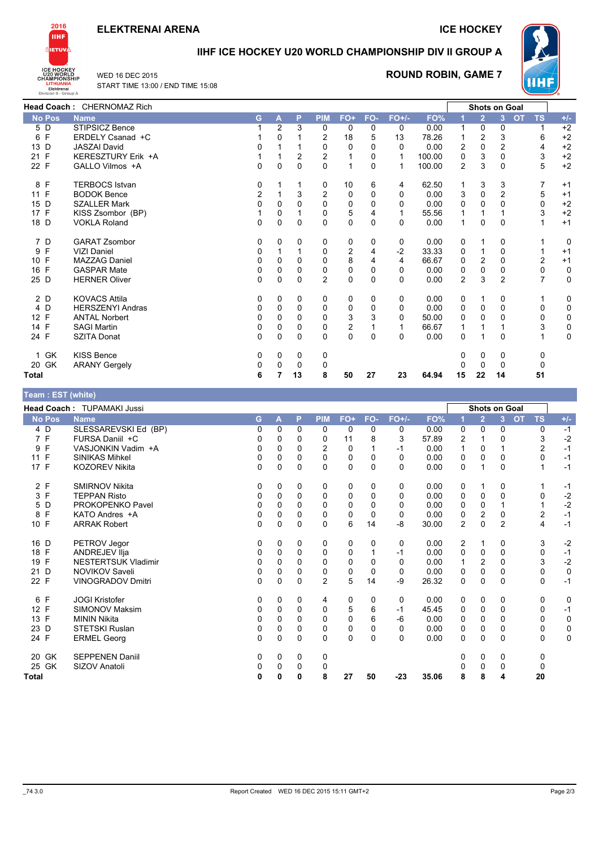## **ELEKTRENAI ARENA**

**ICE HOCKEY** 



# IIHF ICE HOCKEY U20 WORLD CHAMPIONSHIP DIV II GROUP A



### **ROUND ROBIN, GAME 7**



|               | Head Coach: CHERNOMAZ Rich |                |          |          |                |                |          |         |        |                | <b>Shots on Goal</b> |                |                        |             |
|---------------|----------------------------|----------------|----------|----------|----------------|----------------|----------|---------|--------|----------------|----------------------|----------------|------------------------|-------------|
| <b>No Pos</b> | <b>Name</b>                | G.             | A        | P        | <b>PIM</b>     | FO+            | FO-      | $FO+/-$ | FO%    |                | $\overline{2}$       | 3              | <b>OT</b><br><b>TS</b> | $+/-$       |
| 5 D           | STIPSICZ Bence             |                | 2        | 3        | 0              | 0              | 0        | 0       | 0.00   | $\mathbf 1$    | 0                    | 0              |                        | $+2$        |
| 6 F           | ERDELY Csanad +C           |                | 0        |          | 2              | 18             | 5        | 13      | 78.26  |                | 2                    | 3              | 6                      | $+2$        |
| 13 D          | <b>JASZAI David</b>        | 0              |          |          | $\Omega$       | 0              | 0        | 0       | 0.00   | $\overline{2}$ | 0                    | $\overline{2}$ | 4                      | $+2$        |
| 21 F          | KERESZTURY Erik +A         |                |          | 2        | 2              |                | 0        |         | 100.00 | 0              | 3                    | 0              | 3                      | $+2$        |
| 22 F          | GALLO Vilmos +A            | 0              | 0        | 0        | 0              | 1              | $\Omega$ |         | 100.00 | $\overline{2}$ | 3                    | $\Omega$       | 5                      | $+2$        |
| 8 F           | <b>TERBOCS Istvan</b>      | 0              |          |          | 0              | 10             | 6        | 4       | 62.50  |                | 3                    | 3              |                        | $+1$        |
| 11 F          | <b>BODOK Bence</b>         | $\overline{2}$ |          | 3        | $\overline{2}$ | $\mathbf 0$    | 0        | 0       | 0.00   | 3              | 0                    | $\overline{2}$ | 5                      | $+1$        |
| 15 D          | <b>SZALLER Mark</b>        | 0              | 0        | 0        | $\Omega$       | 0              | 0        | 0       | 0.00   | 0              | 0                    | 0              | 0                      | $+2$        |
| 17 F          | KISS Zsombor (BP)          |                | 0        |          | 0              | 5              | 4        |         | 55.56  |                |                      |                | 3                      | $+2$        |
| 18 D          | <b>VOKLA Roland</b>        | $\Omega$       | $\Omega$ | $\Omega$ | $\Omega$       | 0              | 0        | 0       | 0.00   | 1              | $\Omega$             | 0              |                        | $+1$        |
| 7 D           | <b>GARAT Zsombor</b>       | 0              | 0        | 0        | 0              | 0              | 0        | 0       | 0.00   | 0              |                      | 0              |                        | 0           |
| F<br>9        | <b>VIZI Daniel</b>         | 0              |          |          | 0              | $\overline{2}$ | 4        | $-2$    | 33.33  | 0              |                      | 0              |                        | $+1$        |
| 10 F          | <b>MAZZAG Daniel</b>       | 0              | 0        | 0        | 0              | 8              | 4        | 4       | 66.67  | 0              | 2                    | 0              | $\overline{2}$         | $+1$        |
| 16 F          | <b>GASPAR Mate</b>         | 0              | 0        | 0        | 0              | 0              | 0        | 0       | 0.00   | 0              | 0                    | 0              | 0                      | 0           |
| 25 D          | <b>HERNER Oliver</b>       | 0              | 0        | 0        | 2              | 0              | 0        | 0       | 0.00   | $\overline{2}$ | 3                    | $\overline{2}$ | $\overline{7}$         | 0           |
| 2D            | <b>KOVACS Attila</b>       | 0              | 0        | 0        | 0              | 0              | 0        | 0       | 0.00   | 0              |                      | 0              |                        | 0           |
| 4 D           | <b>HERSZENYI Andras</b>    | $\Omega$       | 0        | 0        | $\Omega$       | 0              | 0        | 0       | 0.00   | 0              | 0                    | $\Omega$       | 0                      | 0           |
| 12 F          | <b>ANTAL Norbert</b>       | 0              | $\Omega$ | 0        | $\Omega$       | 3              | 3        | 0       | 50.00  | $\mathbf 0$    | 0                    |                | $\Omega$               | 0           |
| 14 F          | <b>SAGI Martin</b>         | 0              | 0        | 0        | 0              | 2              |          |         | 66.67  |                |                      |                | 3                      | 0           |
| 24 F          | <b>SZITA Donat</b>         | 0              | $\Omega$ | 0        | $\Omega$       | 0              | 0        | 0       | 0.00   | 0              |                      | 0              |                        | $\mathbf 0$ |
| GK<br>1       | <b>KISS Bence</b>          | 0              | 0        | 0        | 0              |                |          |         |        | 0              | 0                    | 0              | 0                      |             |
| 20 GK         | <b>ARANY Gergely</b>       | 0              | 0        | 0        | $\Omega$       |                |          |         |        | 0              | 0                    | 0              | 0                      |             |
| Total         |                            | 6              | 7        | 13       | 8              | 50             | 27       | 23      | 64.94  | 15             | 22                   | 14             | 51                     |             |

#### Team : EST (white)

|                                 | <b>Head Coach: TUPAMAKI Jussi</b> |    |          |              |                |             |          |          |       |                |                | <b>Shots on Goal</b> |                        |       |
|---------------------------------|-----------------------------------|----|----------|--------------|----------------|-------------|----------|----------|-------|----------------|----------------|----------------------|------------------------|-------|
| <b>No Pos</b>                   | <b>Name</b>                       | G. | A        | P            | <b>PIM</b>     | $FO+$       | FO-      | $FO+/-$  | FO%   |                | $\overline{2}$ | $\overline{3}$       | <b>OT</b><br><b>TS</b> | $+/-$ |
| 4 D                             | SLESSAREVSKI Ed (BP)              | 0  | $\Omega$ | $\mathbf{0}$ | 0              | 0           | 0        | 0        | 0.00  | 0              | 0              | 0                    | 0                      | $-1$  |
| 7 F                             | FURSA Daniil +C                   | 0  | 0        | 0            | 0              | 11          | 8        | 3        | 57.89 | $\overline{2}$ |                | 0                    | 3                      | $-2$  |
| F<br>9                          | VASJONKIN Vadim +A                | 0  | 0        | 0            | 2              | 0           |          | $-1$     | 0.00  |                | 0              |                      | 2                      | $-1$  |
| F<br>11                         | <b>SINIKAS Mihkel</b>             | 0  | 0        | 0            | 0              | 0           | 0        | 0        | 0.00  | 0              | 0              | 0                    | 0                      | $-1$  |
| 17 F                            | <b>KOZOREV Nikita</b>             | 0  | $\Omega$ | 0            | 0              | 0           | $\Omega$ | 0        | 0.00  | $\mathbf 0$    |                | $\Omega$             |                        | $-1$  |
| 2 F                             | <b>SMIRNOV Nikita</b>             | 0  | 0        | 0            | 0              | 0           | 0        | 0        | 0.00  | 0              |                | 0                    |                        | $-1$  |
| 3 F                             | <b>TEPPAN Risto</b>               | 0  | 0        | 0            | 0              | 0           | 0        | 0        | 0.00  | 0              | 0              | 0                    | 0                      | $-2$  |
| 5 D                             | PROKOPENKO Pavel                  | 0  | $\Omega$ | 0            | 0              | $\mathbf 0$ | 0        | 0        | 0.00  | 0              | 0              | 1                    |                        | $-2$  |
| $\mathsf{F}$<br>8               | KATO Andres +A                    | 0  | 0        | 0            | 0              | 0           | 0        | 0        | 0.00  | 0              | 2              | 0                    | 2                      | $-1$  |
| 10 F                            | <b>ARRAK Robert</b>               | 0  | 0        | 0            | 0              | 6           | 14       | -8       | 30.00 | 2              | 0              | $\overline{2}$       | 4                      | $-1$  |
| 16 D                            | PETROV Jegor                      | 0  | 0        | 0            | 0              | 0           | 0        | 0        | 0.00  | $\overline{2}$ |                | 0                    | 3                      | $-2$  |
| 18 F                            | ANDREJEV IIja                     | 0  | 0        | 0            | 0              | 0           |          | $-1$     | 0.00  | 0              | 0              | $\Omega$             | 0                      | $-1$  |
| $\mathsf{F}$<br>19              | <b>NESTERTSUK Vladimir</b>        | 0  | $\Omega$ | 0            | 0              | 0           | 0        | 0        | 0.00  |                | 2              | $\Omega$             | 3                      | $-2$  |
| D<br>21                         | NOVIKOV Saveli                    | 0  | $\Omega$ | 0            | 0              | 0           | 0        | 0        | 0.00  | 0              | 0              | $\Omega$             | 0                      | 0     |
| 22 F                            | <b>VINOGRADOV Dmitri</b>          | 0  | $\Omega$ | 0            | $\overline{2}$ | 5           | 14       | -9       | 26.32 | 0              | 0              | $\mathbf{0}$         | $\Omega$               | $-1$  |
| F<br>6                          | <b>JOGI Kristofer</b>             | 0  | 0        | 0            | 4              | 0           | 0        | 0        | 0.00  | 0              | 0              | 0                    | 0                      | 0     |
| 12 <sup>°</sup><br>$\mathsf{F}$ | <b>SIMONOV Maksim</b>             | 0  | 0        | 0            | $\Omega$       | 5           | 6        | $-1$     | 45.45 | 0              | 0              | $\Omega$             | $\Omega$               | $-1$  |
| 13 F                            | <b>MININ Nikita</b>               | 0  | $\Omega$ | 0            | 0              | 0           | 6        | -6       | 0.00  | 0              | 0              | $\Omega$             | 0                      | 0     |
| 23 D                            | <b>STETSKI Ruslan</b>             | 0  | 0        | 0            | 0              | 0           | 0        | $\Omega$ | 0.00  | 0              | 0              | $\Omega$             | 0                      | 0     |
| 24 F                            | <b>ERMEL Georg</b>                | 0  | $\Omega$ | 0            | 0              | 0           | $\Omega$ | 0        | 0.00  | 0              | 0              | $\Omega$             | 0                      | 0     |
| 20 GK                           | <b>SEPPENEN Daniil</b>            | 0  | 0        | 0            | 0              |             |          |          |       | 0              | 0              | 0                    | 0                      |       |
| 25 GK                           | SIZOV Anatoli                     | 0  | 0        | 0            | 0              |             |          |          |       |                | 0              | 0                    | 0                      |       |
| <b>Total</b>                    |                                   | 0  | 0        | 0            | 8              | 27          | 50       | $-23$    | 35.06 | 8              | 8              | 4                    | 20                     |       |